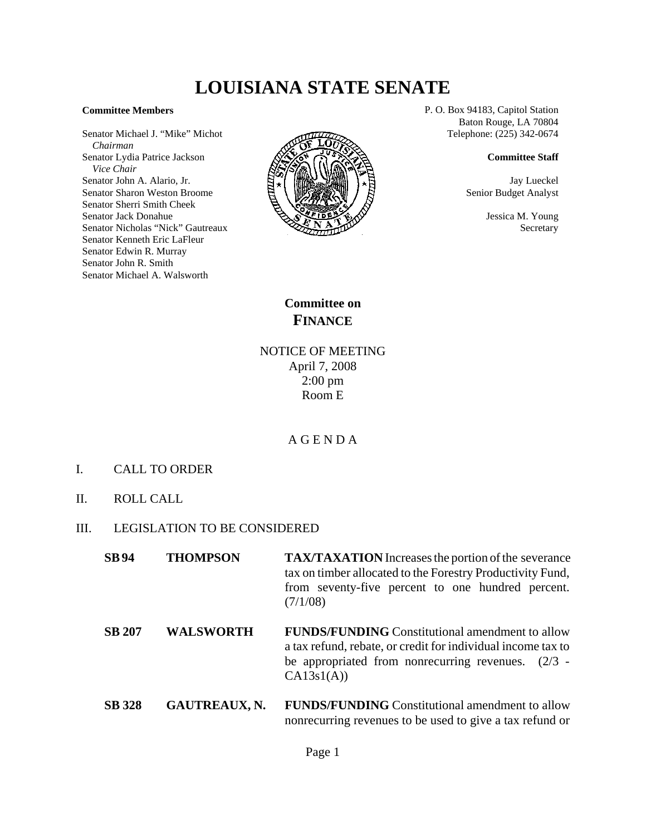# **LOUISIANA STATE SENATE**

#### **Committee Members**

Senator Michael J. "Mike" Michot  *Chairman* Senator Lydia Patrice Jackson  *Vice Chair* Senator John A. Alario, Jr. Senator Sharon Weston Broome Senator Sherri Smith Cheek Senator Jack Donahue Senator Nicholas "Nick" Gautreaux Senator Kenneth Eric LaFleur Senator Edwin R. Murray Senator John R. Smith Senator Michael A. Walsworth



P. O. Box 94183, Capitol Station Baton Rouge, LA 70804 Telephone: (225) 342-0674

### **Committee Staff**

Jay Lueckel Senior Budget Analyst

> Jessica M. Young **Secretary**

**Committee on FINANCE**

NOTICE OF MEETING April 7, 2008 2:00 pm Room E

## A G E N D A

- I. CALL TO ORDER
- II. ROLL CALL
- III. LEGISLATION TO BE CONSIDERED

| <b>SB94</b>   | <b>THOMPSON</b>      | <b>TAX/TAXATION</b> Increases the portion of the severance<br>tax on timber allocated to the Forestry Productivity Fund,<br>from seventy-five percent to one hundred percent.<br>(7/1/08)    |
|---------------|----------------------|----------------------------------------------------------------------------------------------------------------------------------------------------------------------------------------------|
| <b>SB 207</b> | <b>WALSWORTH</b>     | <b>FUNDS/FUNDING</b> Constitutional amendment to allow<br>a tax refund, rebate, or credit for individual income tax to<br>be appropriated from nonrecurring revenues. $(2/3 -$<br>CA13s1(A)) |
| <b>SB</b> 328 | <b>GAUTREAUX, N.</b> | <b>FUNDS/FUNDING</b> Constitutional amendment to allow<br>nonrecurring revenues to be used to give a tax refund or                                                                           |